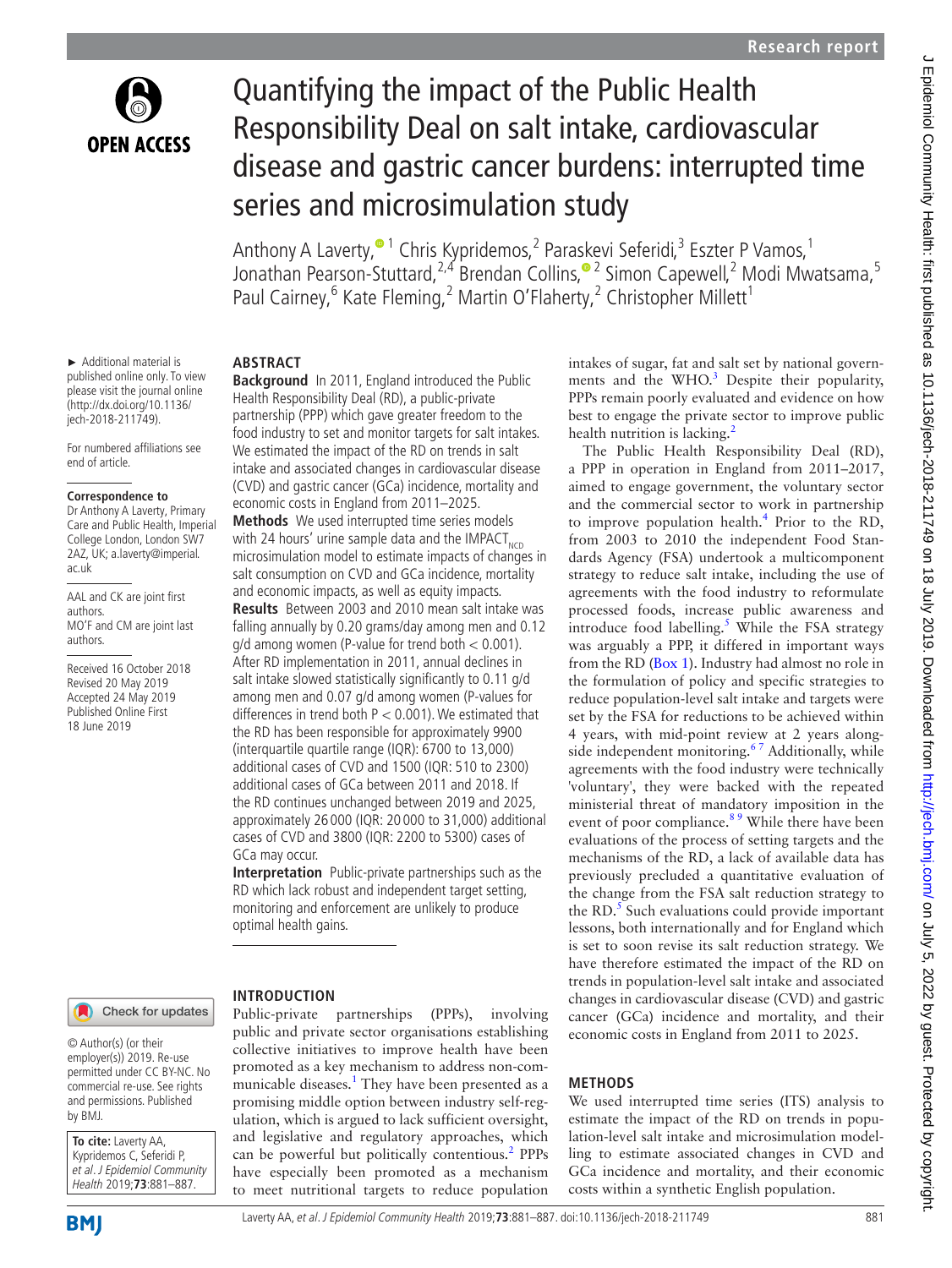

► Additional material is published online only. To view please visit the journal online [\(http://dx.doi.org/10.1136/](http://dx.doi.org/10.1136jech-2018-211749) [jech-2018-211749\)](http://dx.doi.org/10.1136jech-2018-211749).

For numbered affiliations see

**Correspondence to** Dr Anthony A Laverty, Primary Care and Public Health, Imperial College London, London SW7 2AZ, UK; a.laverty@imperial.

AAL and CK are joint first

MO'F and CM are joint last

Received 16 October 2018 Revised 20 May 2019 Accepted 24 May 2019 Published Online First 18 June 2019

end of article.

ac.uk

authors.

authors.

# Quantifying the impact of the Public Health Responsibility Deal on salt intake, cardiovascular disease and gastric cancer burdens: interrupted time series and microsimulation study

Anthony A Laverty,<sup>® 1</sup> Chris Kypridemos,<sup>2</sup> Paraskevi Seferidi,<sup>3</sup> Eszter P Vamos,<sup>1</sup> Jonathan Pearson-Stuttard,<sup>2,4</sup> Brendan Collins,<sup>® 2</sup> Simon Capewell,<sup>2</sup> Modi Mwatsama,<sup>5</sup> Paul Cairney,<sup>6</sup> Kate Fleming,<sup>2</sup> Martin O'Flaherty,<sup>2</sup> Christopher Millett<sup>1</sup>

#### **Abstract**

**Background** In 2011, England introduced the Public Health Responsibility Deal (RD), a public-private partnership (PPP) which gave greater freedom to the food industry to set and monitor targets for salt intakes. We estimated the impact of the RD on trends in salt intake and associated changes in cardiovascular disease (CVD) and gastric cancer (GCa) incidence, mortality and economic costs in England from 2011–2025.

**Methods** We used interrupted time series models with 24 hours' urine sample data and the IMPACT<sub>NCD</sub> microsimulation model to estimate impacts of changes in salt consumption on CVD and GCa incidence, mortality and economic impacts, as well as equity impacts.

**Results** Between 2003 and 2010 mean salt intake was falling annually by 0.20 grams/day among men and 0.12 g/d among women (P-value for trend both < 0.001). After RD implementation in 2011, annual declines in salt intake slowed statistically significantly to 0.11 g/d among men and 0.07 g/d among women (P-values for differences in trend both  $P < 0.001$ ). We estimated that the RD has been responsible for approximately 9900 (interquartile quartile range (IQR): 6700 to 13,000) additional cases of CVD and 1500 (IQR: 510 to 2300) additional cases of GCa between 2011 and 2018. If the RD continues unchanged between 2019 and 2025, approximately 26 000 (IQR: 20 000 to 31,000) additional cases of CVD and 3800 (IQR: 2200 to 5300) cases of GCa may occur.

**Interpretation** Public-private partnerships such as the RD which lack robust and independent target setting, monitoring and enforcement are unlikely to produce optimal health gains.

Check for updates

#### © Author(s) (or their employer(s)) 2019. Re-use permitted under CC BY-NC. No commercial re-use. See rights and permissions. Published by BMJ.

**To cite:** Laverty AA, Kypridemos C, Seferidi P, et al. J Epidemiol Community Health 2019;**73**:881–887.

Public-private partnerships (PPPs), involving

**Introduction**

public and private sector organisations establishing collective initiatives to improve health have been promoted as a key mechanism to address non-communicable diseases.<sup>1</sup> They have been presented as a promising middle option between industry self-regulation, which is argued to lack sufficient oversight, and legislative and regulatory approaches, which can be powerful but politically contentious.<sup>2</sup> PPPs have especially been promoted as a mechanism to meet nutritional targets to reduce population

intakes of sugar, fat and salt set by national governments and the  $WHO^3$ . Despite their popularity, PPPs remain poorly evaluated and evidence on how best to engage the private sector to improve public health nutrition is lacking. $<sup>2</sup>$ </sup>

The Public Health Responsibility Deal (RD), a PPP in operation in England from 2011–2017, aimed to engage government, the voluntary sector and the commercial sector to work in partnership to improve population health. $4$  Prior to the RD, from 2003 to 2010 the independent Food Standards Agency (FSA) undertook a multicomponent strategy to reduce salt intake, including the use of agreements with the food industry to reformulate processed foods, increase public awareness and introduce food labelling.<sup>[5](#page-6-4)</sup> While the FSA strategy was arguably a PPP, it differed in important ways from the RD [\(Box](#page-1-0) 1). Industry had almost no role in the formulation of policy and specific strategies to reduce population-level salt intake and targets were set by the FSA for reductions to be achieved within 4 years, with mid-point review at 2 years alongside independent monitoring.<sup>67</sup> Additionally, while agreements with the food industry were technically 'voluntary', they were backed with the repeated ministerial threat of mandatory imposition in the event of poor compliance.<sup>89</sup> While there have been evaluations of the process of setting targets and the mechanisms of the RD, a lack of available data has previously precluded a quantitative evaluation of the change from the FSA salt reduction strategy to the RD. $<sup>5</sup>$  Such evaluations could provide important</sup> lessons, both internationally and for England which is set to soon revise its salt reduction strategy. We have therefore estimated the impact of the RD on trends in population-level salt intake and associated changes in cardiovascular disease (CVD) and gastric cancer (GCa) incidence and mortality, and their economic costs in England from 2011 to 2025.

### **Methods**

We used interrupted time series (ITS) analysis to estimate the impact of the RD on trends in population-level salt intake and microsimulation modelling to estimate associated changes in CVD and GCa incidence and mortality, and their economic costs within a synthetic English population.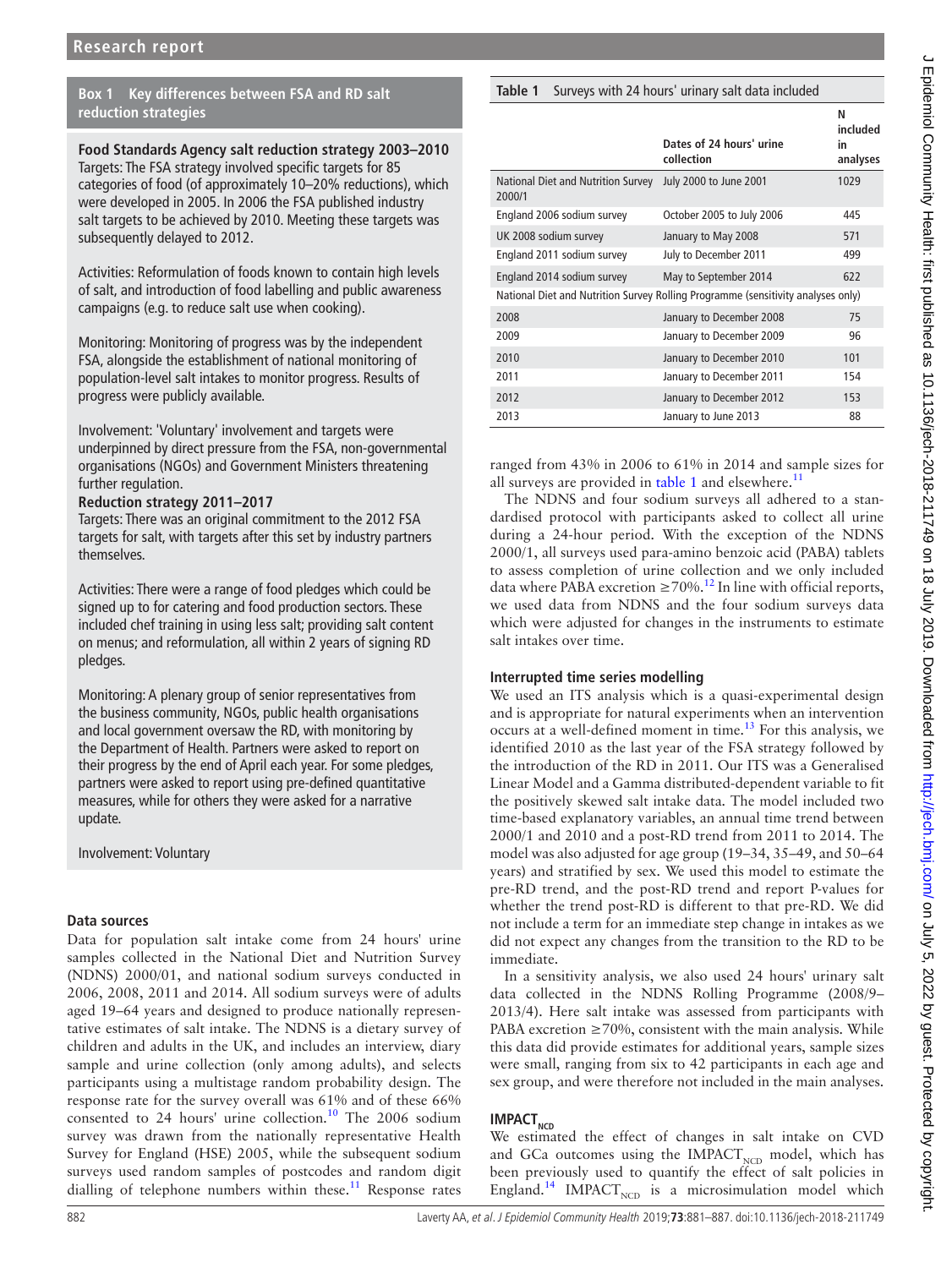#### **Box 1 Key differences between FSA and RD salt reduction strategies**

<span id="page-1-0"></span>**Food Standards Agency salt reduction strategy 2003–2010** Targets: The FSA strategy involved specific targets for 85 categories of food (of approximately 10–20% reductions), which were developed in 2005. In 2006 the FSA published industry salt targets to be achieved by 2010. Meeting these targets was subsequently delayed to 2012.

Activities: Reformulation of foods known to contain high levels of salt, and introduction of food labelling and public awareness campaigns (e.g. to reduce salt use when cooking).

Monitoring: Monitoring of progress was by the independent FSA, alongside the establishment of national monitoring of population-level salt intakes to monitor progress. Results of progress were publicly available.

Involvement: 'Voluntary' involvement and targets were underpinned by direct pressure from the FSA, non-governmental organisations (NGOs) and Government Ministers threatening further regulation.

#### **Reduction strategy 2011–2017**

Targets: There was an original commitment to the 2012 FSA targets for salt, with targets after this set by industry partners themselves.

Activities: There were a range of food pledges which could be signed up to for catering and food production sectors. These included chef training in using less salt; providing salt content on menus; and reformulation, all within 2 years of signing RD pledges.

Monitoring: A plenary group of senior representatives from the business community, NGOs, public health organisations and local government oversaw the RD, with monitoring by the Department of Health. Partners were asked to report on their progress by the end of April each year. For some pledges, partners were asked to report using pre-defined quantitative measures, while for others they were asked for a narrative update.

Involvement: Voluntary

#### **Data sources**

Data for population salt intake come from 24 hours' urine samples collected in the National Diet and Nutrition Survey (NDNS) 2000/01, and national sodium surveys conducted in 2006, 2008, 2011 and 2014. All sodium surveys were of adults aged 19–64 years and designed to produce nationally representative estimates of salt intake. The NDNS is a dietary survey of children and adults in the UK, and includes an interview, diary sample and urine collection (only among adults), and selects participants using a multistage random probability design. The response rate for the survey overall was 61% and of these 66% consented to 24 hours' urine collection. $10$  The 2006 sodium survey was drawn from the nationally representative Health Survey for England (HSE) 2005, while the subsequent sodium surveys used random samples of postcodes and random digit dialling of telephone numbers within these.<sup>[11](#page-6-8)</sup> Response rates

#### <span id="page-1-1"></span>**Table 1** Surveys with 24 hours' urinary salt data included

|                                                                                  |                                        | N<br>included  |  |  |
|----------------------------------------------------------------------------------|----------------------------------------|----------------|--|--|
|                                                                                  | Dates of 24 hours' urine<br>collection | in<br>analyses |  |  |
| National Diet and Nutrition Survey<br>2000/1                                     | July 2000 to June 2001                 | 1029           |  |  |
| England 2006 sodium survey                                                       | October 2005 to July 2006              | 445            |  |  |
| UK 2008 sodium survey                                                            | January to May 2008                    | 571            |  |  |
| England 2011 sodium survey                                                       | July to December 2011                  | 499            |  |  |
| England 2014 sodium survey                                                       | May to September 2014                  | 622            |  |  |
| National Diet and Nutrition Survey Rolling Programme (sensitivity analyses only) |                                        |                |  |  |
| 2008                                                                             | January to December 2008               | 75             |  |  |
| 2009                                                                             | January to December 2009               | 96             |  |  |
| 2010                                                                             | January to December 2010               | 101            |  |  |
| 2011                                                                             | January to December 2011               | 154            |  |  |
| 2012                                                                             | January to December 2012               | 153            |  |  |
| 2013                                                                             | January to June 2013                   | 88             |  |  |

ranged from 43% in 2006 to 61% in 2014 and sample sizes for all surveys are provided in [table](#page-1-1) 1 and elsewhere.<sup>11</sup>

The NDNS and four sodium surveys all adhered to a standardised protocol with participants asked to collect all urine during a 24-hour period. With the exception of the NDNS 2000/1, all surveys used para-amino benzoic acid (PABA) tablets to assess completion of urine collection and we only included data where PABA excretion  $\geq 70\%$ .<sup>[12](#page-6-9)</sup> In line with official reports, we used data from NDNS and the four sodium surveys data which were adjusted for changes in the instruments to estimate salt intakes over time.

#### **Interrupted time series modelling**

We used an ITS analysis which is a quasi-experimental design and is appropriate for natural experiments when an intervention occurs at a well-defined moment in time.<sup>13</sup> For this analysis, we identified 2010 as the last year of the FSA strategy followed by the introduction of the RD in 2011. Our ITS was a Generalised Linear Model and a Gamma distributed-dependent variable to fit the positively skewed salt intake data. The model included two time-based explanatory variables, an annual time trend between 2000/1 and 2010 and a post-RD trend from 2011 to 2014. The model was also adjusted for age group (19–34, 35–49, and 50–64 years) and stratified by sex. We used this model to estimate the pre-RD trend, and the post-RD trend and report P-values for whether the trend post-RD is different to that pre-RD. We did not include a term for an immediate step change in intakes as we did not expect any changes from the transition to the RD to be immediate.

In a sensitivity analysis, we also used 24 hours' urinary salt data collected in the NDNS Rolling Programme (2008/9– 2013/4). Here salt intake was assessed from participants with PABA excretion  $\geq$  70%, consistent with the main analysis. While this data did provide estimates for additional years, sample sizes were small, ranging from six to 42 participants in each age and sex group, and were therefore not included in the main analyses.

## **IMPACT**<sub>NCD</sub>

We estimated the effect of changes in salt intake on CVD and GCa outcomes using the  $IMPACT_{NCD}$  model, which has been previously used to quantify the effect of salt policies in England.<sup>[14](#page-6-11)</sup> IMPACT<sub>NCD</sub> is a microsimulation model which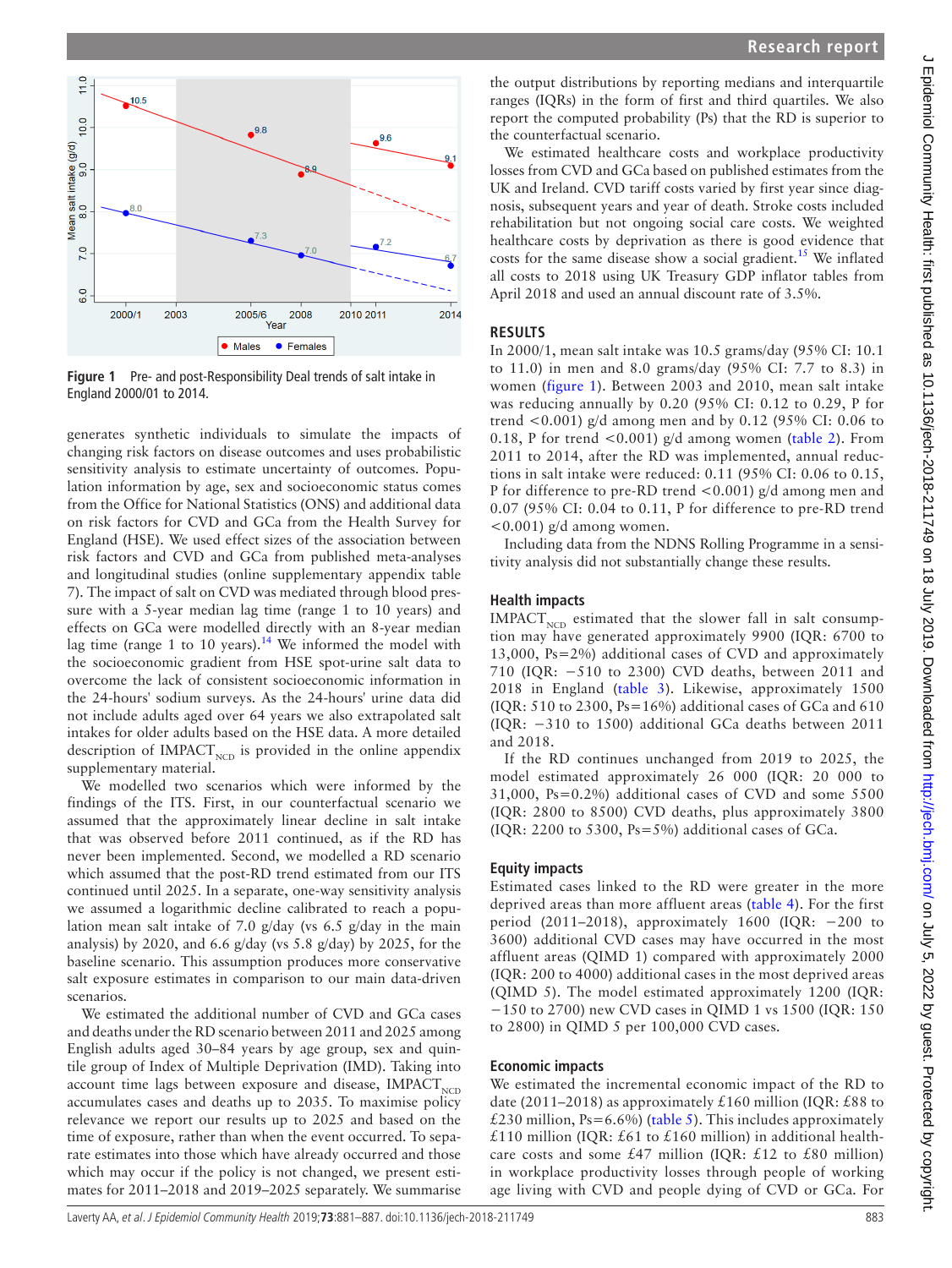

J Epidemiol Community Health: first published as 10.1136/jech-2018-211749 on 18 July 2019. Downloaded from http://jech.bm/.com/ on July 2019. Downloaded from http://jech.bm/.com/ on July 2019. J Epidemiol Community Health: first published as 10.1136/jech-2018-211749 on 18 July 2019. Downloaded from <http://jech.bmj.com/> on July 5, 2022 by guest. Protected by copyright.



<span id="page-2-0"></span>**Figure 1** Pre- and post-Responsibility Deal trends of salt intake in England 2000/01 to 2014.

generates synthetic individuals to simulate the impacts of changing risk factors on disease outcomes and uses probabilistic sensitivity analysis to estimate uncertainty of outcomes. Population information by age, sex and socioeconomic status comes from the Office for National Statistics (ONS) and additional data on risk factors for CVD and GCa from the Health Survey for England (HSE). We used effect sizes of the association between risk factors and CVD and GCa from published meta-analyses and longitudinal studies ([online supplementary appendix table](https://dx.doi.org/10.1136/jech-2018-211749)  [7](https://dx.doi.org/10.1136/jech-2018-211749)). The impact of salt on CVD was mediated through blood pressure with a 5-year median lag time (range 1 to 10 years) and effects on GCa were modelled directly with an 8-year median lag time (range 1 to 10 years).<sup>14</sup> We informed the model with the socioeconomic gradient from HSE spot-urine salt data to overcome the lack of consistent socioeconomic information in the 24-hours' sodium surveys. As the 24-hours' urine data did not include adults aged over 64 years we also extrapolated salt intakes for older adults based on the HSE data. A more detailed description of  $IMPACT<sub>NCD</sub>$  is provided in the online appendix [supplementary material.](https://dx.doi.org/10.1136/jech-2018-211749)

We modelled two scenarios which were informed by the findings of the ITS. First, in our counterfactual scenario we assumed that the approximately linear decline in salt intake that was observed before 2011 continued, as if the RD has never been implemented. Second, we modelled a RD scenario which assumed that the post-RD trend estimated from our ITS continued until 2025. In a separate, one-way sensitivity analysis we assumed a logarithmic decline calibrated to reach a population mean salt intake of 7.0 g/day (vs 6.5 g/day in the main analysis) by 2020, and 6.6 g/day (vs 5.8 g/day) by 2025, for the baseline scenario. This assumption produces more conservative salt exposure estimates in comparison to our main data-driven scenarios.

We estimated the additional number of CVD and GCa cases and deaths under the RD scenario between 2011 and 2025 among English adults aged 30–84 years by age group, sex and quintile group of Index of Multiple Deprivation (IMD). Taking into account time lags between exposure and disease,  $IMPACT_{NCD}$ accumulates cases and deaths up to 2035. To maximise policy relevance we report our results up to 2025 and based on the time of exposure, rather than when the event occurred. To separate estimates into those which have already occurred and those which may occur if the policy is not changed, we present estimates for 2011–2018 and 2019–2025 separately. We summarise

the output distributions by reporting medians and interquartile ranges (IQRs) in the form of first and third quartiles. We also report the computed probability (Ps) that the RD is superior to the counterfactual scenario.

We estimated healthcare costs and workplace productivity losses from CVD and GCa based on published estimates from the UK and Ireland. CVD tariff costs varied by first year since diagnosis, subsequent years and year of death. Stroke costs included rehabilitation but not ongoing social care costs. We weighted healthcare costs by deprivation as there is good evidence that costs for the same disease show a social gradient.<sup>15</sup> We inflated all costs to 2018 using UK Treasury GDP inflator tables from April 2018 and used an annual discount rate of 3.5%.

#### **Results**

In 2000/1, mean salt intake was 10.5 grams/day (95% CI: 10.1 to 11.0) in men and 8.0 grams/day (95% CI: 7.7 to 8.3) in women ([figure](#page-2-0) 1). Between 2003 and 2010, mean salt intake was reducing annually by 0.20 (95% CI: 0.12 to 0.29, P for trend <0.001) g/d among men and by 0.12 (95% CI: 0.06 to 0.18, P for trend  $< 0.001$ ) g/d among women ([table](#page-3-0) 2). From 2011 to 2014, after the RD was implemented, annual reductions in salt intake were reduced: 0.11 (95% CI: 0.06 to 0.15, P for difference to pre-RD trend <0.001) g/d among men and 0.07 (95% CI: 0.04 to 0.11, P for difference to pre-RD trend  $\leq 0.001$ ) g/d among women.

Including data from the NDNS Rolling Programme in a sensitivity analysis did not substantially change these results.

#### **Health impacts**

 $IMPACT<sub>NCD</sub> estimated that the slower fall in salt consump$ tion may have generated approximately 9900 (IQR: 6700 to 13,000, Ps=2%) additional cases of CVD and approximately 710 (IQR: −510 to 2300) CVD deaths, between 2011 and 2018 in England ([table](#page-3-1) 3). Likewise, approximately 1500 (IQR: 510 to 2300,  $Ps=16\%$ ) additional cases of GCa and 610 (IQR: −310 to 1500) additional GCa deaths between 2011 and 2018.

If the RD continues unchanged from 2019 to 2025, the model estimated approximately 26 000 (IQR: 20 000 to 31,000, Ps=0.2%) additional cases of CVD and some 5500 (IQR: 2800 to 8500) CVD deaths, plus approximately 3800 (IQR: 2200 to 5300, Ps=5%) additional cases of GCa.

#### **Equity impacts**

Estimated cases linked to the RD were greater in the more deprived areas than more affluent areas [\(table](#page-4-0) 4). For the first period (2011–2018), approximately 1600 (IQR: −200 to 3600) additional CVD cases may have occurred in the most affluent areas (QIMD 1) compared with approximately 2000 (IQR: 200 to 4000) additional cases in the most deprived areas (QIMD 5). The model estimated approximately 1200 (IQR: −150 to 2700) new CVD cases in QIMD 1 vs 1500 (IQR: 150 to 2800) in QIMD 5 per 100,000 CVD cases.

#### **Economic impacts**

We estimated the incremental economic impact of the RD to date (2011–2018) as approximately £160 million (IQR: £88 to £230 million, Ps=6.6%) ([table](#page-5-0) 5). This includes approximately £110 million (IQR: £61 to £160 million) in additional healthcare costs and some  $£47$  million (IQR:  $£12$  to  $£80$  million) in workplace productivity losses through people of working age living with CVD and people dying of CVD or GCa. For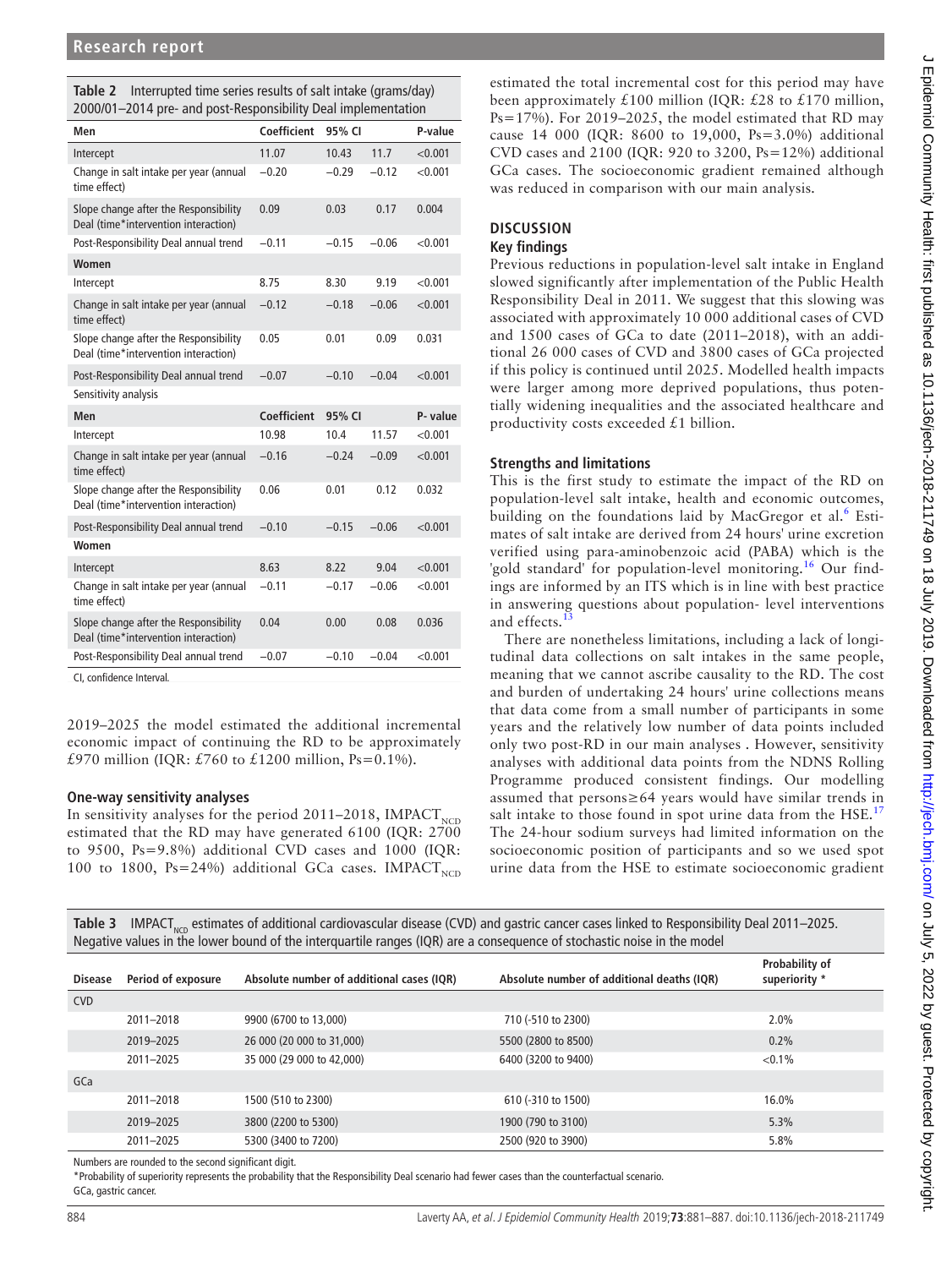<span id="page-3-0"></span>

|                                                               | <b>Table 2</b> Interrupted time series results of salt intake (grams/day) |  |  |  |
|---------------------------------------------------------------|---------------------------------------------------------------------------|--|--|--|
| 2000/01-2014 pre- and post-Responsibility Deal implementation |                                                                           |  |  |  |

| Men                                                                           | Coefficient | 95% CI  |         | P-value   |
|-------------------------------------------------------------------------------|-------------|---------|---------|-----------|
| Intercept                                                                     | 11.07       | 10.43   | 11.7    | < 0.001   |
| Change in salt intake per year (annual<br>time effect)                        | $-0.20$     | $-0.29$ | $-0.12$ | < 0.001   |
| Slope change after the Responsibility<br>Deal (time*intervention interaction) | 0.09        | 0.03    | 0.17    | 0.004     |
| Post-Responsibility Deal annual trend                                         | $-0.11$     | $-0.15$ | $-0.06$ | $<$ 0.001 |
| Women                                                                         |             |         |         |           |
| Intercept                                                                     | 8.75        | 8.30    | 9.19    | < 0.001   |
| Change in salt intake per year (annual<br>time effect)                        | $-0.12$     | $-0.18$ | $-0.06$ | < 0.001   |
| Slope change after the Responsibility<br>Deal (time*intervention interaction) | 0.05        | 0.01    | 0.09    | 0.031     |
| Post-Responsibility Deal annual trend                                         | $-0.07$     | $-0.10$ | $-0.04$ | < 0.001   |
| Sensitivity analysis                                                          |             |         |         |           |
| Men                                                                           | Coefficient | 95% CI  |         | P- value  |
| Intercept                                                                     | 10.98       | 10.4    | 11.57   | < 0.001   |
| Change in salt intake per year (annual<br>time effect)                        | $-0.16$     | $-0.24$ | $-0.09$ | < 0.001   |
| Slope change after the Responsibility<br>Deal (time*intervention interaction) | 0.06        | 0.01    | 0.12    | 0.032     |
| Post-Responsibility Deal annual trend                                         | $-0.10$     | $-0.15$ | $-0.06$ | < 0.001   |
| Women                                                                         |             |         |         |           |
| Intercept                                                                     | 8.63        | 8.22    | 9.04    | < 0.001   |
| Change in salt intake per year (annual<br>time effect)                        | $-0.11$     | $-0.17$ | $-0.06$ | < 0.001   |
| Slope change after the Responsibility<br>Deal (time*intervention interaction) | 0.04        | 0.00    | 0.08    | 0.036     |
| Post-Responsibility Deal annual trend                                         | $-0.07$     | $-0.10$ | $-0.04$ | < 0.001   |
|                                                                               |             |         |         |           |

CI, confidence Interval.

2019–2025 the model estimated the additional incremental economic impact of continuing the RD to be approximately £970 million (IQR: £760 to £1200 million, Ps=0.1%).

#### **One-way sensitivity analyses**

In sensitivity analyses for the period 2011–2018, IMPACT<sub>NCD</sub> estimated that the RD may have generated 6100 (IQR: 2700 to 9500, Ps=9.8%) additional CVD cases and 1000 (IQR: 100 to 1800, Ps=24%) additional GCa cases. IMPACT<sub>NCD</sub>

estimated the total incremental cost for this period may have been approximately £100 million (IQR: £28 to £170 million, Ps=17%). For 2019–2025, the model estimated that RD may cause 14 000 (IQR: 8600 to 19,000, Ps=3.0%) additional CVD cases and 2100 (IQR: 920 to 3200, Ps=12%) additional GCa cases. The socioeconomic gradient remained although was reduced in comparison with our main analysis.

### **Discussion**

#### **Key findings**

Previous reductions in population-level salt intake in England slowed significantly after implementation of the Public Health Responsibility Deal in 2011. We suggest that this slowing was associated with approximately 10 000 additional cases of CVD and 1500 cases of GCa to date (2011–2018), with an additional 26 000 cases of CVD and 3800 cases of GCa projected if this policy is continued until 2025. Modelled health impacts were larger among more deprived populations, thus potentially widening inequalities and the associated healthcare and productivity costs exceeded £1 billion.

#### **Strengths and limitations**

This is the first study to estimate the impact of the RD on population-level salt intake, health and economic outcomes, building on the foundations laid by MacGregor et al.<sup>[6](#page-6-5)</sup> Estimates of salt intake are derived from 24 hours' urine excretion verified using para-aminobenzoic acid (PABA) which is the 'gold standard' for population-level monitoring.<sup>16</sup> Our findings are informed by an ITS which is in line with best practice in answering questions about population- level interventions and effects.<sup>1</sup>

There are nonetheless limitations, including a lack of longitudinal data collections on salt intakes in the same people, meaning that we cannot ascribe causality to the RD. The cost and burden of undertaking 24 hours' urine collections means that data come from a small number of participants in some years and the relatively low number of data points included only two post-RD in our main analyses . However, sensitivity analyses with additional data points from the NDNS Rolling Programme produced consistent findings. Our modelling assumed that persons≥64 years would have similar trends in salt intake to those found in spot urine data from the  $HSE<sup>17</sup>$  $HSE<sup>17</sup>$  $HSE<sup>17</sup>$ The 24-hour sodium surveys had limited information on the socioeconomic position of participants and so we used spot urine data from the HSE to estimate socioeconomic gradient

<span id="page-3-1"></span>Table 3 IMPACT<sub>NCD</sub> estimates of additional cardiovascular disease (CVD) and gastric cancer cases linked to Responsibility Deal 2011–2025. Negative values in the lower bound of the interquartile ranges (IQR) are a consequence of stochastic noise in the model

| <b>Disease</b> | Period of exposure | Absolute number of additional cases (IQR) | Absolute number of additional deaths (IQR) | Probability of<br>superiority * |
|----------------|--------------------|-------------------------------------------|--------------------------------------------|---------------------------------|
| <b>CVD</b>     |                    |                                           |                                            |                                 |
|                | 2011-2018          | 9900 (6700 to 13,000)                     | 710 (-510 to 2300)                         | 2.0%                            |
|                | 2019-2025          | 26 000 (20 000 to 31,000)                 | 5500 (2800 to 8500)                        | 0.2%                            |
|                | 2011-2025          | 35 000 (29 000 to 42,000)                 | 6400 (3200 to 9400)                        | $< 0.1\%$                       |
| GCa            |                    |                                           |                                            |                                 |
|                | 2011-2018          | 1500 (510 to 2300)                        | 610 (-310 to 1500)                         | 16.0%                           |
|                | 2019-2025          | 3800 (2200 to 5300)                       | 1900 (790 to 3100)                         | 5.3%                            |
|                | 2011-2025          | 5300 (3400 to 7200)                       | 2500 (920 to 3900)                         | 5.8%                            |

Numbers are rounded to the second significant digit.

\*Probability of superiority represents the probability that the Responsibility Deal scenario had fewer cases than the counterfactual scenario. GCa, gastric cancer.

J Epidemiol Community Health: first published as 10.1136/jech-2018-211749 on 18 July 2019. Downloaded from http://jech.bmj.com/ on July 5, 2022 by guest. Protected by copyright J Epidemiol Community Health: first published as 10.1136/jech-2018-211749 on 18 July 2019. Downloaded from <http://jech.bmj.com/> on July 5, 2022 by guest. Protected by copyright.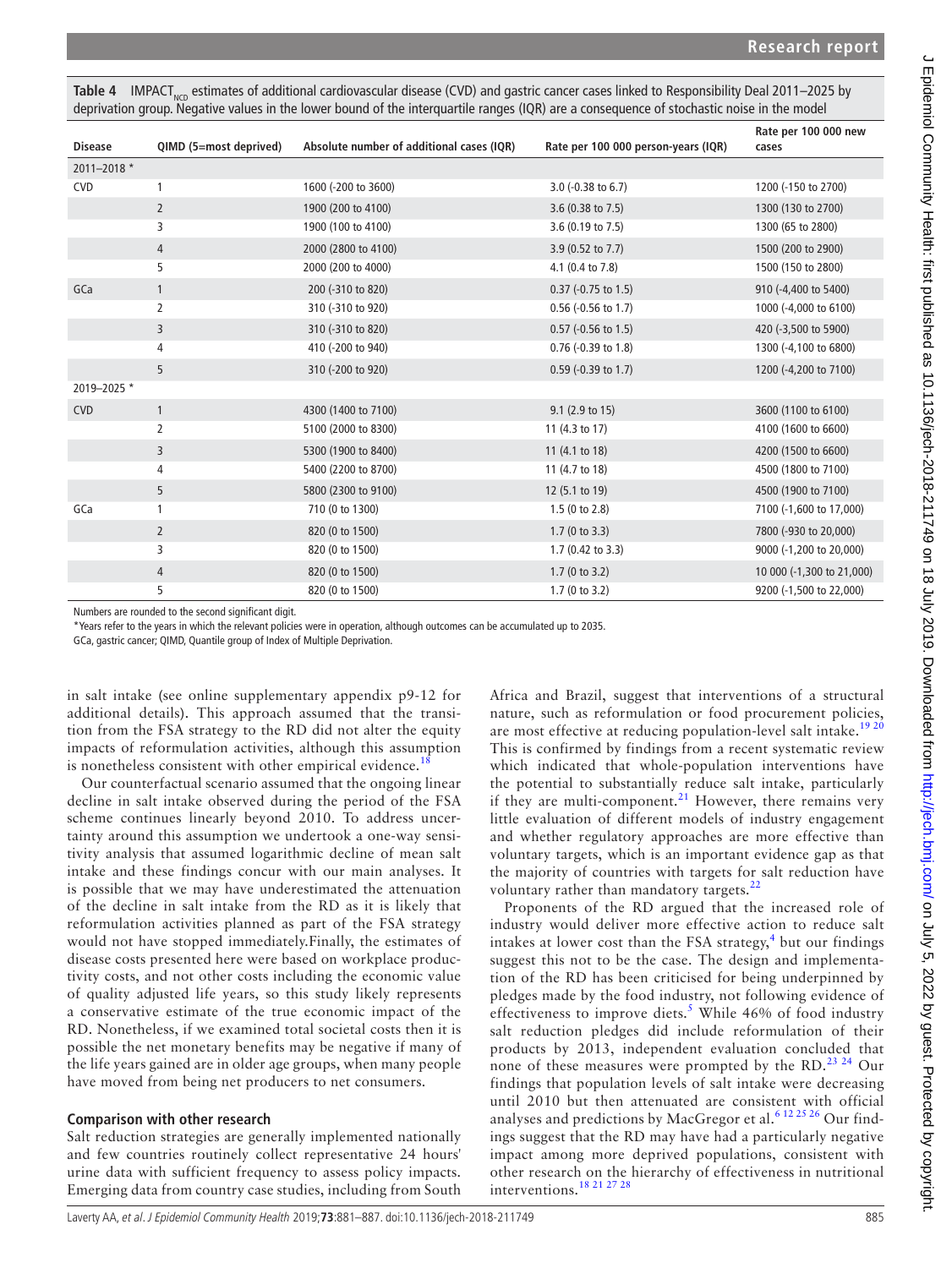<span id="page-4-0"></span>Table 4 IMPACT<sub>NCD</sub> estimates of additional cardiovascular disease (CVD) and gastric cancer cases linked to Responsibility Deal 2011–2025 by deprivation group. Negative values in the lower bound of the interquartile ranges (IQR) are a consequence of stochastic noise in the model

| <b>Disease</b> | QIMD (5=most deprived) | Absolute number of additional cases (IQR) | Rate per 100 000 person-years (IQR) | Rate per 100 000 new<br>cases |
|----------------|------------------------|-------------------------------------------|-------------------------------------|-------------------------------|
| 2011-2018 *    |                        |                                           |                                     |                               |
| <b>CVD</b>     | 1                      | 1600 (-200 to 3600)                       | 3.0 (-0.38 to 6.7)                  | 1200 (-150 to 2700)           |
|                | $\overline{2}$         | 1900 (200 to 4100)                        | 3.6 (0.38 to 7.5)                   | 1300 (130 to 2700)            |
|                | 3                      | 1900 (100 to 4100)                        | 3.6 (0.19 to 7.5)                   | 1300 (65 to 2800)             |
|                | 4                      | 2000 (2800 to 4100)                       | 3.9 (0.52 to 7.7)                   | 1500 (200 to 2900)            |
|                | 5                      | 2000 (200 to 4000)                        | 4.1 (0.4 to 7.8)                    | 1500 (150 to 2800)            |
| GCa            | $\mathbf{1}$           | 200 (-310 to 820)                         | $0.37$ (-0.75 to 1.5)               | 910 (-4,400 to 5400)          |
|                | $\overline{2}$         | 310 (-310 to 920)                         | $0.56$ (-0.56 to 1.7)               | 1000 (-4,000 to 6100)         |
|                | 3                      | 310 (-310 to 820)                         | $0.57$ (-0.56 to 1.5)               | 420 (-3,500 to 5900)          |
|                | 4                      | 410 (-200 to 940)                         | $0.76$ (-0.39 to 1.8)               | 1300 (-4,100 to 6800)         |
|                | 5                      | 310 (-200 to 920)                         | $0.59$ (-0.39 to 1.7)               | 1200 (-4,200 to 7100)         |
| 2019-2025 *    |                        |                                           |                                     |                               |
| <b>CVD</b>     | $\mathbf{1}$           | 4300 (1400 to 7100)                       | 9.1 (2.9 to 15)                     | 3600 (1100 to 6100)           |
|                | 2                      | 5100 (2000 to 8300)                       | 11 (4.3 to 17)                      | 4100 (1600 to 6600)           |
|                | 3                      | 5300 (1900 to 8400)                       | 11 (4.1 to 18)                      | 4200 (1500 to 6600)           |
|                | 4                      | 5400 (2200 to 8700)                       | 11 (4.7 to 18)                      | 4500 (1800 to 7100)           |
|                | 5                      | 5800 (2300 to 9100)                       | 12 (5.1 to 19)                      | 4500 (1900 to 7100)           |
| GCa            | 1                      | 710 (0 to 1300)                           | 1.5(0 to 2.8)                       | 7100 (-1,600 to 17,000)       |
|                | $\overline{2}$         | 820 (0 to 1500)                           | 1.7(0 to 3.3)                       | 7800 (-930 to 20,000)         |
|                | 3                      | 820 (0 to 1500)                           | 1.7 $(0.42 \text{ to } 3.3)$        | 9000 (-1,200 to 20,000)       |
|                | 4                      | 820 (0 to 1500)                           | 1.7(0 to 3.2)                       | 10 000 (-1,300 to 21,000)     |
|                | 5                      | 820 (0 to 1500)                           | 1.7(0 to 3.2)                       | 9200 (-1,500 to 22,000)       |

Numbers are rounded to the second significant digit.

\*Years refer to the years in which the relevant policies were in operation, although outcomes can be accumulated up to 2035.

GCa, gastric cancer; QIMD, Quantile group of Index of Multiple Deprivation.

in salt intake (see [online supplementary appendix](https://dx.doi.org/10.1136/jech-2018-211749) p9-12 for additional details). This approach assumed that the transition from the FSA strategy to the RD did not alter the equity impacts of reformulation activities, although this assumption is nonetheless consistent with other empirical evidence.<sup>[18](#page-6-15)</sup>

Our counterfactual scenario assumed that the ongoing linear decline in salt intake observed during the period of the FSA scheme continues linearly beyond 2010. To address uncertainty around this assumption we undertook a one-way sensitivity analysis that assumed logarithmic decline of mean salt intake and these findings concur with our main analyses. It is possible that we may have underestimated the attenuation of the decline in salt intake from the RD as it is likely that reformulation activities planned as part of the FSA strategy would not have stopped immediately.Finally, the estimates of disease costs presented here were based on workplace productivity costs, and not other costs including the economic value of quality adjusted life years, so this study likely represents a conservative estimate of the true economic impact of the RD. Nonetheless, if we examined total societal costs then it is possible the net monetary benefits may be negative if many of the life years gained are in older age groups, when many people have moved from being net producers to net consumers.

### **Comparison with other research**

Salt reduction strategies are generally implemented nationally and few countries routinely collect representative 24 hours' urine data with sufficient frequency to assess policy impacts. Emerging data from country case studies, including from South Africa and Brazil, suggest that interventions of a structural nature, such as reformulation or food procurement policies, are most effective at reducing population-level salt intake.<sup>1920</sup> This is confirmed by findings from a recent systematic review which indicated that whole-population interventions have the potential to substantially reduce salt intake, particularly if they are multi-component.<sup>[21](#page-6-17)</sup> However, there remains very little evaluation of different models of industry engagement and whether regulatory approaches are more effective than voluntary targets, which is an important evidence gap as that the majority of countries with targets for salt reduction have voluntary rather than mandatory targets.<sup>[22](#page-6-18)</sup>

Proponents of the RD argued that the increased role of industry would deliver more effective action to reduce salt intakes at lower cost than the FSA strategy, $<sup>4</sup>$  $<sup>4</sup>$  $<sup>4</sup>$  but our findings</sup> suggest this not to be the case. The design and implementation of the RD has been criticised for being underpinned by pledges made by the food industry, not following evidence of effectiveness to improve diets.<sup>[5](#page-6-4)</sup> While 46% of food industry salt reduction pledges did include reformulation of their products by 2013, independent evaluation concluded that none of these measures were prompted by the RD.<sup>23 24</sup> Our findings that population levels of salt intake were decreasing until 2010 but then attenuated are consistent with official analyses and predictions by MacGregor et al.<sup>[6 12 25 26](#page-6-5)</sup> Our findings suggest that the RD may have had a particularly negative impact among more deprived populations, consistent with other research on the hierarchy of effectiveness in nutritional interventions.[18 21 27 28](#page-6-15)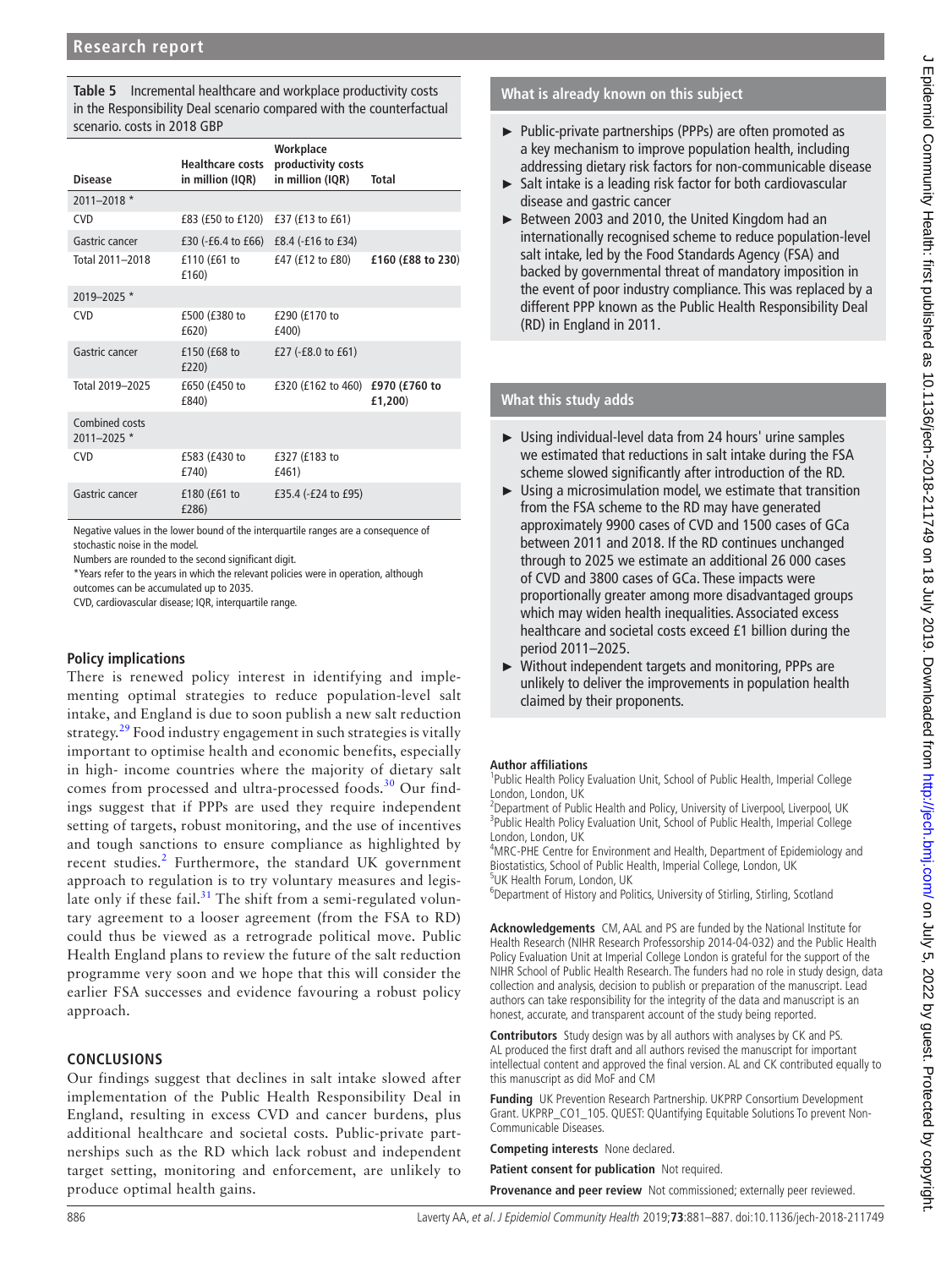<span id="page-5-0"></span>**Table 5** Incremental healthcare and workplace productivity costs in the Responsibility Deal scenario compared with the counterfactual scenario. costs in 2018 GBP

| <b>Disease</b>                    | <b>Healthcare costs</b><br>in million (IQR) | Workplace<br>productivity costs<br>in million (IQR) | Total                    |
|-----------------------------------|---------------------------------------------|-----------------------------------------------------|--------------------------|
| $2011 - 2018$ *                   |                                             |                                                     |                          |
| <b>CVD</b>                        | £83 (£50 to £120)                           | £37 (£13 to £61)                                    |                          |
| Gastric cancer                    | $£30 (-£6.4 to £66)$                        | £8.4 (-£16 to £34)                                  |                          |
| Total 2011-2018                   | £110 (£61 to<br>£160)                       | £47 (£12 to £80)                                    | £160 (£88 to 230)        |
| 2019-2025 *                       |                                             |                                                     |                          |
| <b>CVD</b>                        | £500 (£380 to<br>£620)                      | £290 (£170 to<br>£400)                              |                          |
| Gastric cancer                    | £150 (£68 to<br>£220)                       | £27 (-£8.0 to £61)                                  |                          |
| Total 2019-2025                   | £650 (£450 to<br>£840)                      | £320 (£162 to 460)                                  | £970 (£760 to<br>£1,200) |
| Combined costs<br>$2011 - 2025$ * |                                             |                                                     |                          |
| <b>CVD</b>                        | £583 (£430 to<br>£740)                      | £327 (£183 to<br>£461)                              |                          |
| Gastric cancer                    | £180 (£61 to<br>£286)                       | £35.4 $(-E24$ to £95)                               |                          |

Negative values in the lower bound of the interquartile ranges are a consequence of stochastic noise in the model.

Numbers are rounded to the second significant digit.

\*Years refer to the years in which the relevant policies were in operation, although

outcomes can be accumulated up to 2035.

CVD, cardiovascular disease; IQR, interquartile range.

#### **Policy implications**

There is renewed policy interest in identifying and implementing optimal strategies to reduce population-level salt intake, and England is due to soon publish a new salt reduction strategy.<sup>29</sup> Food industry engagement in such strategies is vitally important to optimise health and economic benefits, especially in high- income countries where the majority of dietary salt comes from processed and ultra-processed foods.<sup>[30](#page-6-21)</sup> Our findings suggest that if PPPs are used they require independent setting of targets, robust monitoring, and the use of incentives and tough sanctions to ensure compliance as highlighted by recent studies.<sup>[2](#page-6-1)</sup> Furthermore, the standard UK government approach to regulation is to try voluntary measures and legislate only if these fail. $31$  The shift from a semi-regulated voluntary agreement to a looser agreement (from the FSA to RD) could thus be viewed as a retrograde political move. Public Health England plans to review the future of the salt reduction programme very soon and we hope that this will consider the earlier FSA successes and evidence favouring a robust policy approach.

#### **Conclusions**

Our findings suggest that declines in salt intake slowed after implementation of the Public Health Responsibility Deal in England, resulting in excess CVD and cancer burdens, plus additional healthcare and societal costs. Public-private partnerships such as the RD which lack robust and independent target setting, monitoring and enforcement, are unlikely to produce optimal health gains.

**What is already known on this subject**

- ► Public-private partnerships (PPPs) are often promoted as a key mechanism to improve population health, including addressing dietary risk factors for non-communicable disease
- ► Salt intake is a leading risk factor for both cardiovascular disease and gastric cancer
- ► Between 2003 and 2010, the United Kingdom had an internationally recognised scheme to reduce population-level salt intake, led by the Food Standards Agency (FSA) and backed by governmental threat of mandatory imposition in the event of poor industry compliance. This was replaced by a different PPP known as the Public Health Responsibility Deal (RD) in England in 2011.

#### **What this study adds**

- ► Using individual-level data from 24 hours' urine samples we estimated that reductions in salt intake during the FSA scheme slowed significantly after introduction of the RD.
- ► Using a microsimulation model, we estimate that transition from the FSA scheme to the RD may have generated approximately 9900 cases of CVD and 1500 cases of GCa between 2011 and 2018. If the RD continues unchanged through to 2025 we estimate an additional 26 000 cases of CVD and 3800 cases of GCa. These impacts were proportionally greater among more disadvantaged groups which may widen health inequalities. Associated excess healthcare and societal costs exceed £1 billion during the period 2011–2025.
- ► Without independent targets and monitoring, PPPs are unlikely to deliver the improvements in population health claimed by their proponents.

#### **Author affiliations**

<sup>1</sup>Public Health Policy Evaluation Unit, School of Public Health, Imperial College London, London, UK

<sup>2</sup>Department of Public Health and Policy, University of Liverpool, Liverpool, UK <sup>3</sup>Public Health Policy Evaluation Unit, School of Public Health, Imperial College London, London, UK

<sup>4</sup>MRC-PHE Centre for Environment and Health, Department of Epidemiology and Biostatistics, School of Public Health, Imperial College, London, UK 5 UK Health Forum, London, UK

<sup>6</sup>Department of History and Politics, University of Stirling, Stirling, Scotland

**Acknowledgements** CM, AAL and PS are funded by the National Institute for Health Research (NIHR Research Professorship 2014-04-032) and the Public Health Policy Evaluation Unit at Imperial College London is grateful for the support of the NIHR School of Public Health Research. The funders had no role in study design, data collection and analysis, decision to publish or preparation of the manuscript. Lead authors can take responsibility for the integrity of the data and manuscript is an honest, accurate, and transparent account of the study being reported.

**Contributors** Study design was by all authors with analyses by CK and PS. AL produced the first draft and all authors revised the manuscript for important intellectual content and approved the final version. AL and CK contributed equally to this manuscript as did MoF and CM

**Funding** UK Prevention Research Partnership. UKPRP Consortium Development Grant. UKPRP\_CO1\_105. QUEST: QUantifying Equitable Solutions To prevent Non-Communicable Diseases.

**Competing interests** None declared.

**Patient consent for publication** Not required.

**Provenance and peer review** Not commissioned; externally peer reviewed.